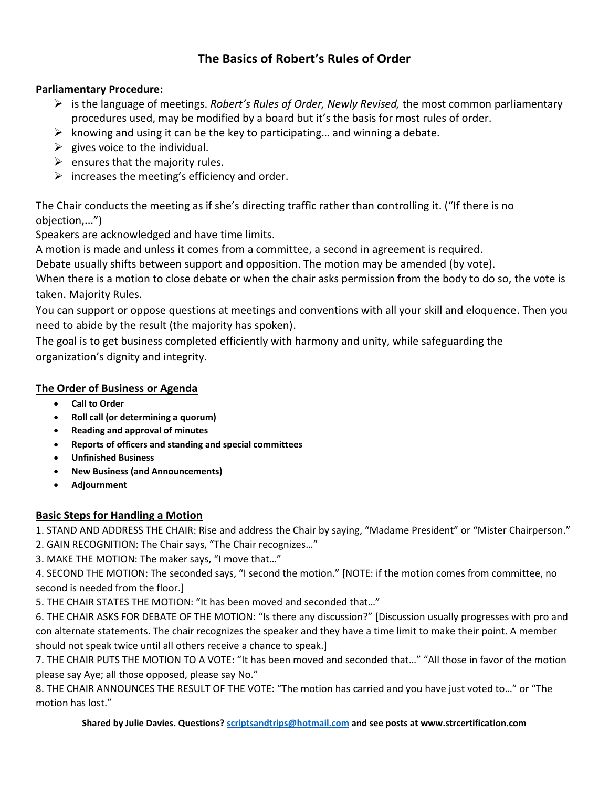# **The Basics of Robert's Rules of Order**

#### **Parliamentary Procedure:**

- ➢ is the language of meetings. *Robert's Rules of Order, Newly Revised,* the most common parliamentary procedures used, may be modified by a board but it's the basis for most rules of order.
- $\triangleright$  knowing and using it can be the key to participating... and winning a debate.
- $\triangleright$  gives voice to the individual.
- $\triangleright$  ensures that the majority rules.
- $\triangleright$  increases the meeting's efficiency and order.

The Chair conducts the meeting as if she's directing traffic rather than controlling it. ("If there is no objection,...")

Speakers are acknowledged and have time limits.

A motion is made and unless it comes from a committee, a second in agreement is required.

Debate usually shifts between support and opposition. The motion may be amended (by vote).

When there is a motion to close debate or when the chair asks permission from the body to do so, the vote is taken. Majority Rules.

You can support or oppose questions at meetings and conventions with all your skill and eloquence. Then you need to abide by the result (the majority has spoken).

The goal is to get business completed efficiently with harmony and unity, while safeguarding the organization's dignity and integrity.

### **The Order of Business or Agenda**

- **Call to Order**
- **Roll call (or determining a quorum)**
- **Reading and approval of minutes**
- **Reports of officers and standing and special committees**
- **Unfinished Business**
- **New Business (and Announcements)**
- **Adjournment**

## **Basic Steps for Handling a Motion**

1. STAND AND ADDRESS THE CHAIR: Rise and address the Chair by saying, "Madame President" or "Mister Chairperson."

2. GAIN RECOGNITION: The Chair says, "The Chair recognizes…"

3. MAKE THE MOTION: The maker says, "I move that…"

4. SECOND THE MOTION: The seconded says, "I second the motion." [NOTE: if the motion comes from committee, no second is needed from the floor.]

5. THE CHAIR STATES THE MOTION: "It has been moved and seconded that…"

6. THE CHAIR ASKS FOR DEBATE OF THE MOTION: "Is there any discussion?" [Discussion usually progresses with pro and con alternate statements. The chair recognizes the speaker and they have a time limit to make their point. A member should not speak twice until all others receive a chance to speak.]

7. THE CHAIR PUTS THE MOTION TO A VOTE: "It has been moved and seconded that…" "All those in favor of the motion please say Aye; all those opposed, please say No."

8. THE CHAIR ANNOUNCES THE RESULT OF THE VOTE: "The motion has carried and you have just voted to…" or "The motion has lost."